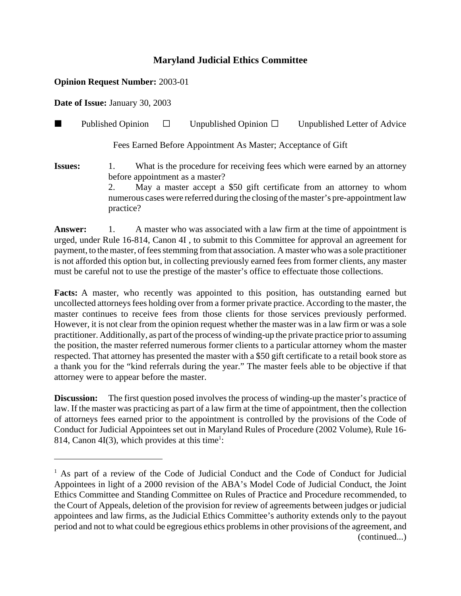## **Maryland Judicial Ethics Committee**

## **Opinion Request Number:** 2003-01

**Date of Issue:** January 30, 2003

**Published Opinion**  $\Box$  Unpublished Opinion  $\Box$  Unpublished Letter of Advice

Fees Earned Before Appointment As Master; Acceptance of Gift

**Issues:** 1. What is the procedure for receiving fees which were earned by an attorney before appointment as a master? 2. May a master accept a \$50 gift certificate from an attorney to whom numerous cases were referred during the closing of the master's pre-appointment law practice?

**Answer:** 1. A master who was associated with a law firm at the time of appointment is urged, under Rule 16-814, Canon 4I , to submit to this Committee for approval an agreement for payment, to the master, of fees stemming from that association. A master who was a sole practitioner is not afforded this option but, in collecting previously earned fees from former clients, any master must be careful not to use the prestige of the master's office to effectuate those collections.

**Facts:** A master, who recently was appointed to this position, has outstanding earned but uncollected attorneys fees holding over from a former private practice. According to the master, the master continues to receive fees from those clients for those services previously performed. However, it is not clear from the opinion request whether the master was in a law firm or was a sole practitioner. Additionally, as part of the process of winding-up the private practice prior to assuming the position, the master referred numerous former clients to a particular attorney whom the master respected. That attorney has presented the master with a \$50 gift certificate to a retail book store as a thank you for the "kind referrals during the year." The master feels able to be objective if that attorney were to appear before the master.

**Discussion:** The first question posed involves the process of winding-up the master's practice of law. If the master was practicing as part of a law firm at the time of appointment, then the collection of attorneys fees earned prior to the appointment is controlled by the provisions of the Code of Conduct for Judicial Appointees set out in Maryland Rules of Procedure (2002 Volume), Rule 16- 814, Canon 4I(3), which provides at this time<sup>1</sup>:

<sup>&</sup>lt;sup>1</sup> As part of a review of the Code of Judicial Conduct and the Code of Conduct for Judicial Appointees in light of a 2000 revision of the ABA's Model Code of Judicial Conduct, the Joint Ethics Committee and Standing Committee on Rules of Practice and Procedure recommended, to the Court of Appeals, deletion of the provision for review of agreements between judges or judicial appointees and law firms, as the Judicial Ethics Committee's authority extends only to the payout period and not to what could be egregious ethics problems in other provisions of the agreement, and (continued...)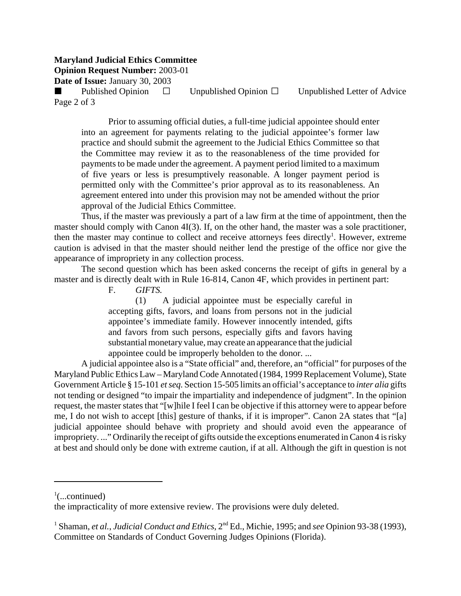## **Maryland Judicial Ethics Committee**

**Opinion Request Number:** 2003-01

**Date of Issue:** January 30, 2003

Published Opinion  $\Box$  Unpublished Opinion  $\Box$  Unpublished Letter of Advice Page 2 of 3

Prior to assuming official duties, a full-time judicial appointee should enter into an agreement for payments relating to the judicial appointee's former law practice and should submit the agreement to the Judicial Ethics Committee so that the Committee may review it as to the reasonableness of the time provided for payments to be made under the agreement. A payment period limited to a maximum of five years or less is presumptively reasonable. A longer payment period is permitted only with the Committee's prior approval as to its reasonableness. An agreement entered into under this provision may not be amended without the prior approval of the Judicial Ethics Committee.

Thus, if the master was previously a part of a law firm at the time of appointment, then the master should comply with Canon 4I(3). If, on the other hand, the master was a sole practitioner, then the master may continue to collect and receive attorneys fees directly<sup>1</sup>. However, extreme caution is advised in that the master should neither lend the prestige of the office nor give the appearance of impropriety in any collection process.

The second question which has been asked concerns the receipt of gifts in general by a master and is directly dealt with in Rule 16-814, Canon 4F, which provides in pertinent part:

F. *GIFTS.*

(1) A judicial appointee must be especially careful in accepting gifts, favors, and loans from persons not in the judicial appointee's immediate family. However innocently intended, gifts and favors from such persons, especially gifts and favors having substantial monetary value, may create an appearance that the judicial appointee could be improperly beholden to the donor. ...

A judicial appointee also is a "State official" and, therefore, an "official" for purposes of the Maryland Public Ethics Law – Maryland Code Annotated (1984, 1999 Replacement Volume), State Government Article § 15-101 *et seq.* Section 15-505 limits an official's acceptance to *inter alia* gifts not tending or designed "to impair the impartiality and independence of judgment". In the opinion request, the master states that "[w]hile I feel I can be objective if this attorney were to appear before me, I do not wish to accept [this] gesture of thanks, if it is improper". Canon 2A states that "[a] judicial appointee should behave with propriety and should avoid even the appearance of impropriety. ..." Ordinarily the receipt of gifts outside the exceptions enumerated in Canon 4 is risky at best and should only be done with extreme caution, if at all. Although the gift in question is not

 $\frac{1}{2}$ (...continued)

the impracticality of more extensive review. The provisions were duly deleted.

<sup>&</sup>lt;sup>1</sup> Shaman, *et al., Judicial Conduct and Ethics*, 2<sup>nd</sup> Ed., Michie, 1995; and *see* Opinion 93-38 (1993), Committee on Standards of Conduct Governing Judges Opinions (Florida).